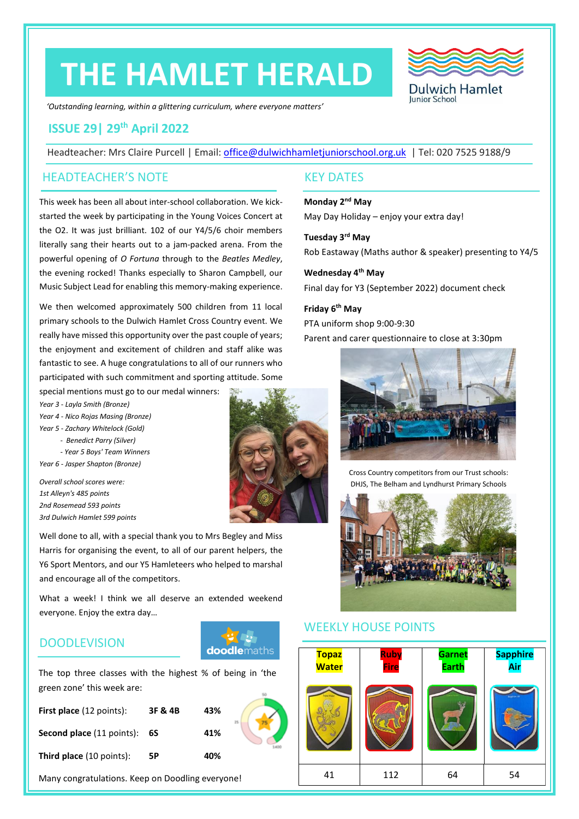# **THE HAMLET HERALD**

**Dulwich Hamlet** Junior School

*'Outstanding learning, within a glittering curriculum, where everyone matters'*

# **ISSUE 29| 29 th April 2022**

Headteacher: Mrs Claire Purcell | Email: [office@dulwichhamletjuniorschool.org.uk](mailto:office@dulwichhamletjuniorschool.org.uk) | Tel: 020 7525 9188/9

#### HEADTEACHER'S NOTE KEY DATES

This week has been all about inter-school collaboration. We kickstarted the week by participating in the Young Voices Concert at the O2. It was just brilliant. 102 of our Y4/5/6 choir members literally sang their hearts out to a jam-packed arena. From the powerful opening of *O Fortuna* through to the *Beatles Medley*, the evening rocked! Thanks especially to Sharon Campbell, our Music Subject Lead for enabling this memory-making experience.

We then welcomed approximately 500 children from 11 local primary schools to the Dulwich Hamlet Cross Country event. We really have missed this opportunity over the past couple of years; the enjoyment and excitement of children and staff alike was fantastic to see. A huge congratulations to all of our runners who participated with such commitment and sporting attitude. Some

special mentions must go to our medal winners: *Year 3 - Layla Smith (Bronze) Year 4 - Nico Rojas Masing (Bronze)*

- *Year 5 - Zachary Whitelock (Gold) - Benedict Parry (Silver)* 
	- *- Year 5 Boys' Team Winners*

*Year 6 - Jasper Shapton (Bronze)*

*Overall school scores were: 1st Alleyn's 485 points 2nd Rosemead 593 points 3rd Dulwich Hamlet 599 points*

Well done to all, with a special thank you to Mrs Begley and Miss Harris for organising the event, to all of our parent helpers, the Y6 Sport Mentors, and our Y5 Hamleteers who helped to marshal and encourage all of the competitors.

What a week! I think we all deserve an extended weekend everyone. Enjoy the extra day…

## **DOODLEVISION**



The top three classes with the highest % of being in 'the green zone' this week are:

| <b>First place</b> (12 points):  | 3F & 4B | 43% | 25 |
|----------------------------------|---------|-----|----|
| <b>Second place</b> (11 points): | 6S      | 41% |    |
| <b>Third place</b> (10 points):  | 5Р      | 40% |    |

Many congratulations. Keep on Doodling everyone!

**Monday 2nd May** May Day Holiday – enjoy your extra day!

**Tuesday 3rd May** Rob Eastaway (Maths author & speaker) presenting to Y4/5

**Wednesday 4th May** Final day for Y3 (September 2022) document check

**Friday 6th May** PTA uniform shop 9:00-9:30 Parent and carer questionnaire to close at 3:30pm



Cross Country competitors from our Trust schools: DHJS, The Belham and Lyndhurst Primary Schools



#### WEEKLY HOUSE POINTS



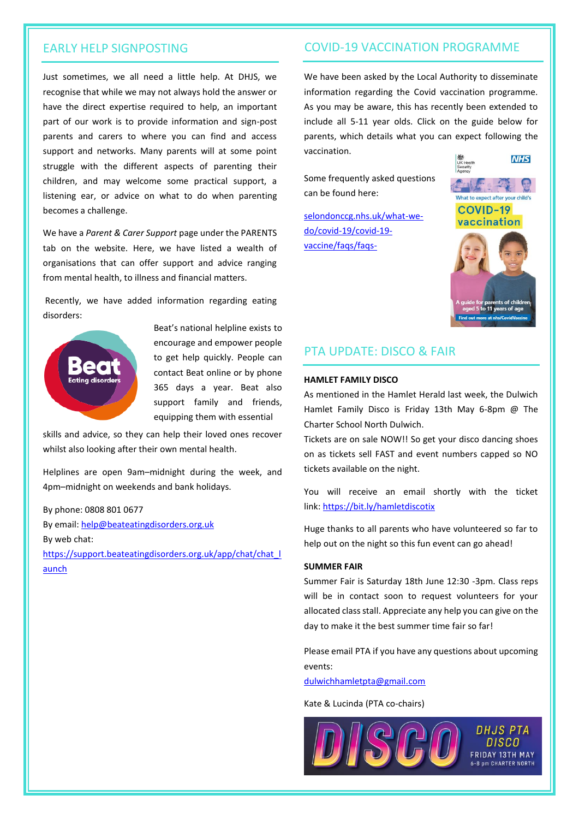#### EARLY HELP SIGNPOSTING

Just sometimes, we all need a little help. At DHJS, we recognise that while we may not always hold the answer or have the direct expertise required to help, an important part of our work is to provide information and sign-post parents and carers to where you can find and access support and networks. Many parents will at some point struggle with the different aspects of parenting their children, and may welcome some practical support, a listening ear, or advice on what to do when parenting becomes a challenge.

We have a *Parent & Carer Support* page under the PARENTS tab on the website. Here, we have listed a wealth of organisations that can offer support and advice ranging from mental health, to illness and financial matters.

Recently, we have added information regarding eating disorders:



Beat's national helpline exists to encourage and empower people to get help quickly. People can contact Beat online or by phone 365 days a year. Beat also support family and friends, equipping them with essential

skills and advice, so they can help their loved ones recover whilst also looking after their own mental health.

Helplines are open 9am–midnight during the week, and 4pm–midnight on weekends and bank holidays.

By phone: 0808 801 0677 By email[: help@beateatingdisorders.org.uk](mailto:help@beateatingdisorders.org.uk) By web chat: [https://support.beateatingdisorders.org.uk/app/chat/chat\\_l](https://support.beateatingdisorders.org.uk/app/chat/chat_launch) [aunch](https://support.beateatingdisorders.org.uk/app/chat/chat_launch)

#### COVID-19 VACCINATION PROGRAMME

We have been asked by the Local Authority to disseminate information regarding the Covid vaccination programme. As you may be aware, this has recently been extended to include all 5-11 year olds. Click on the guide below for parents, which details what you can expect following the vaccination. **NHS** 

Some frequently asked questions can be found here:

[selondonccg.nhs.uk/what-we](https://urldefense.com/v3/__https:/selondonccg.nhs.uk/what-we-do/covid-19/covid-19-vaccine/faqs/faqs-vaccinating-5-to-11-year-olds/__;!!Ou-zFulSALS7ubxZ2oj45Dg!VU2oJ31ev_AMFSK6WU4XrG7ia2hvER0MR56m8qArSGinKs9Fzq2nJQFl0iedLViSb50eDVPFty3AQCyu95TaBp7xjv1Lgys$)[do/covid-19/covid-19](https://urldefense.com/v3/__https:/selondonccg.nhs.uk/what-we-do/covid-19/covid-19-vaccine/faqs/faqs-vaccinating-5-to-11-year-olds/__;!!Ou-zFulSALS7ubxZ2oj45Dg!VU2oJ31ev_AMFSK6WU4XrG7ia2hvER0MR56m8qArSGinKs9Fzq2nJQFl0iedLViSb50eDVPFty3AQCyu95TaBp7xjv1Lgys$) [vaccine/faqs/faqs-](https://urldefense.com/v3/__https:/selondonccg.nhs.uk/what-we-do/covid-19/covid-19-vaccine/faqs/faqs-vaccinating-5-to-11-year-olds/__;!!Ou-zFulSALS7ubxZ2oj45Dg!VU2oJ31ev_AMFSK6WU4XrG7ia2hvER0MR56m8qArSGinKs9Fzq2nJQFl0iedLViSb50eDVPFty3AQCyu95TaBp7xjv1Lgys$)



#### PTA UPDATE: DISCO & FAIR

#### **HAMLET FAMILY DISCO**

As mentioned in the Hamlet Herald last week, the Dulwich Hamlet Family Disco is Friday 13th May 6-8pm @ The Charter School North Dulwich.

Tickets are on sale NOW!! So get your disco dancing shoes on as tickets sell FAST and event numbers capped so NO tickets available on the night.

You will receive an email shortly with the ticket link: <https://bit.ly/hamletdiscotix>

Huge thanks to all parents who have volunteered so far to help out on the night so this fun event can go ahead!

#### **SUMMER FAIR**

Summer Fair is Saturday 18th June 12:30 -3pm. Class reps will be in contact soon to request volunteers for your allocated class stall. Appreciate any help you can give on the day to make it the best summer time fair so far!

Please email PTA if you have any questions about upcoming events:

[dulwichhamletpta@gmail.com](mailto:dulwichhamletpta@gmail.com)

Kate & Lucinda (PTA co-chairs)



**DHJS PTA FRIDAY 13TH MAY 5-8 nm CHARTER NORTH**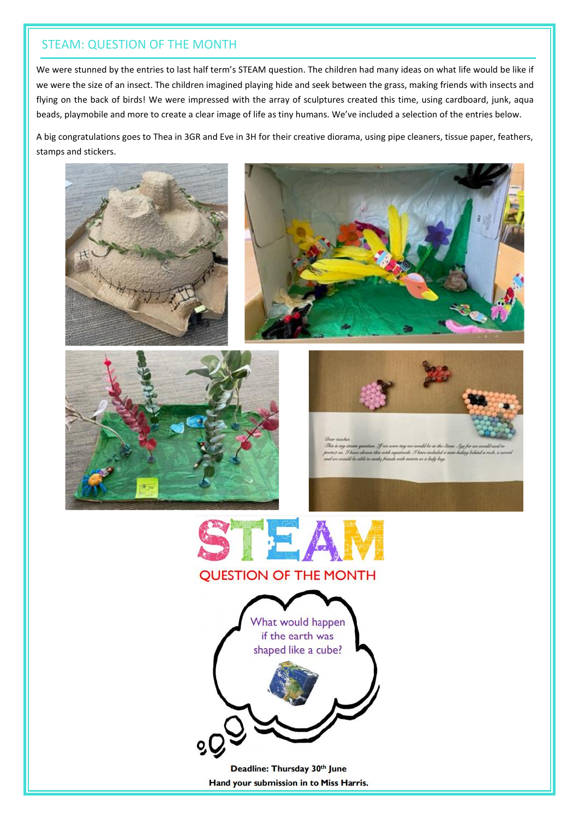## STEAM: QUESTION OF THE MONTH

We were stunned by the entries to last half term's STEAM question. The children had many ideas on what life would be like if we were the size of an insect. The children imagined playing hide and seek between the grass, making friends with insects and flying on the back of birds! We were impressed with the array of sculptures created this time, using cardboard, junk, aqua beads, playmobile and more to create a clear image of life as tiny humans. We've included a selection of the entries below.

A big congratulations goes to Thea in 3GR and Eve in 3H for their creative diorama, using pipe cleaners, tissue paper, feathers, stamps and stickers.









de 36





Deadline: Thursday 30th June Hand your submission in to Miss Harris.